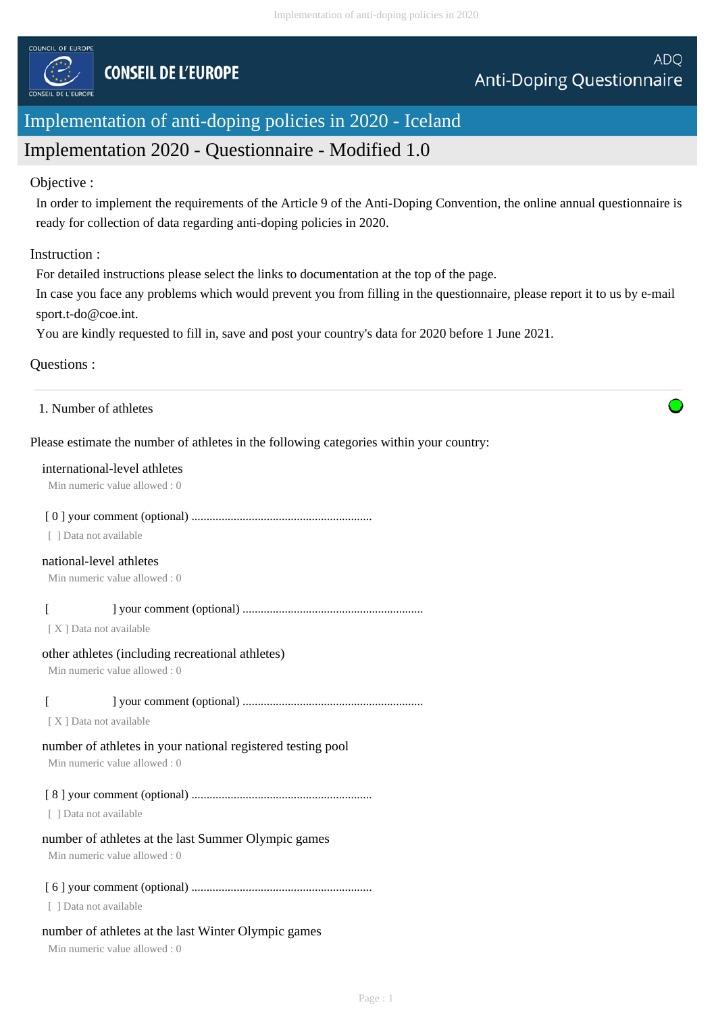

# Implementation of anti-doping policies in 2020 - Iceland

# Implementation 2020 - Questionnaire - Modified 1.0

### Objective :

In order to implement the requirements of the Article 9 of the Anti-Doping Convention, the online annual questionnaire is ready for collection of data regarding anti-doping policies in 2020.

### Instruction :

For detailed instructions please select the links to documentation at the top of the page.

In case you face any problems which would prevent you from filling in the questionnaire, please report it to us by e-mail sport.t-do@coe.int.

You are kindly requested to fill in, save and post your country's data for 2020 before 1 June 2021.

## Questions :

| 1. Number of athletes |  |  |
|-----------------------|--|--|
|-----------------------|--|--|

## Please estimate the number of athletes in the following categories within your country:

#### international-level athletes

Min numeric value allowed : 0

## [ 0 ] your comment (optional) ............................................................

[ ] Data not available

### national-level athletes

Min numeric value allowed : 0

## [ ] your comment (optional) ............................................................

[ X ] Data not available

### other athletes (including recreational athletes)

Min numeric value allowed : 0

## [ ] your comment (optional) ............................................................

[X] Data not available

## number of athletes in your national registered testing pool

Min numeric value allowed : 0

## [ 8 ] your comment (optional) ............................................................

[ ] Data not available

## number of athletes at the last Summer Olympic games

Min numeric value allowed : 0

## [ 6 ] your comment (optional) ............................................................

[ ] Data not available

## number of athletes at the last Winter Olympic games

Min numeric value allowed : 0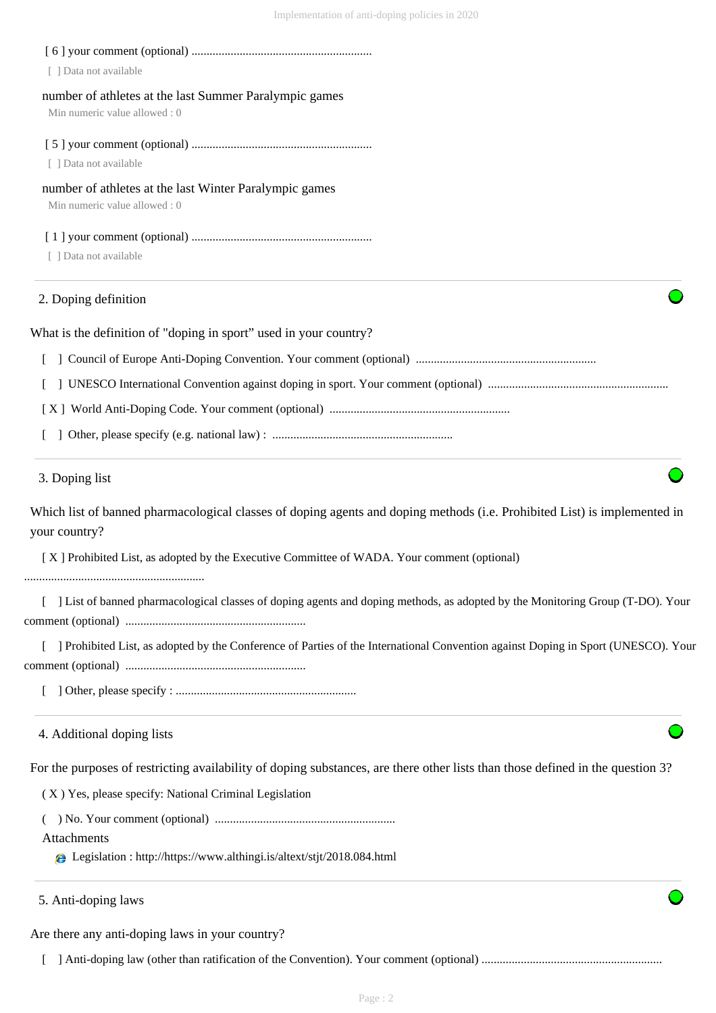| [ ] Data not available                                                                                                                     |
|--------------------------------------------------------------------------------------------------------------------------------------------|
| number of athletes at the last Summer Paralympic games<br>Min numeric value allowed: 0                                                     |
| [ ] Data not available                                                                                                                     |
| number of athletes at the last Winter Paralympic games<br>Min numeric value allowed: 0                                                     |
| [ ] Data not available                                                                                                                     |
| 2. Doping definition                                                                                                                       |
| What is the definition of "doping in sport" used in your country?                                                                          |
|                                                                                                                                            |
|                                                                                                                                            |
|                                                                                                                                            |
|                                                                                                                                            |
| 3. Doping list                                                                                                                             |
| Which list of banned pharmacological classes of doping agents and doping methods (i.e. Prohibited List) is implemented in<br>your country? |
| [X] Prohibited List, as adopted by the Executive Committee of WADA. Your comment (optional)                                                |
| [ ] List of banned pharmacological classes of doping agents and doping methods, as adopted by the Monitoring Group (T-DO). Your            |
| ] Prohibited List, as adopted by the Conference of Parties of the International Convention against Doping in Sport (UNESCO). Your          |
|                                                                                                                                            |
| 4. Additional doping lists                                                                                                                 |
| For the purposes of restricting availability of doping substances, are there other lists than those defined in the question 3?             |
| (X) Yes, please specify: National Criminal Legislation                                                                                     |
|                                                                                                                                            |
| Attachments<br>e Legislation : http://https://www.althingi.is/altext/stjt/2018.084.html                                                    |
| 5. Anti-doping laws                                                                                                                        |

Are there any anti-doping laws in your country?

[ ] Anti-doping law (other than ratification of the Convention). Your comment (optional) ............................................................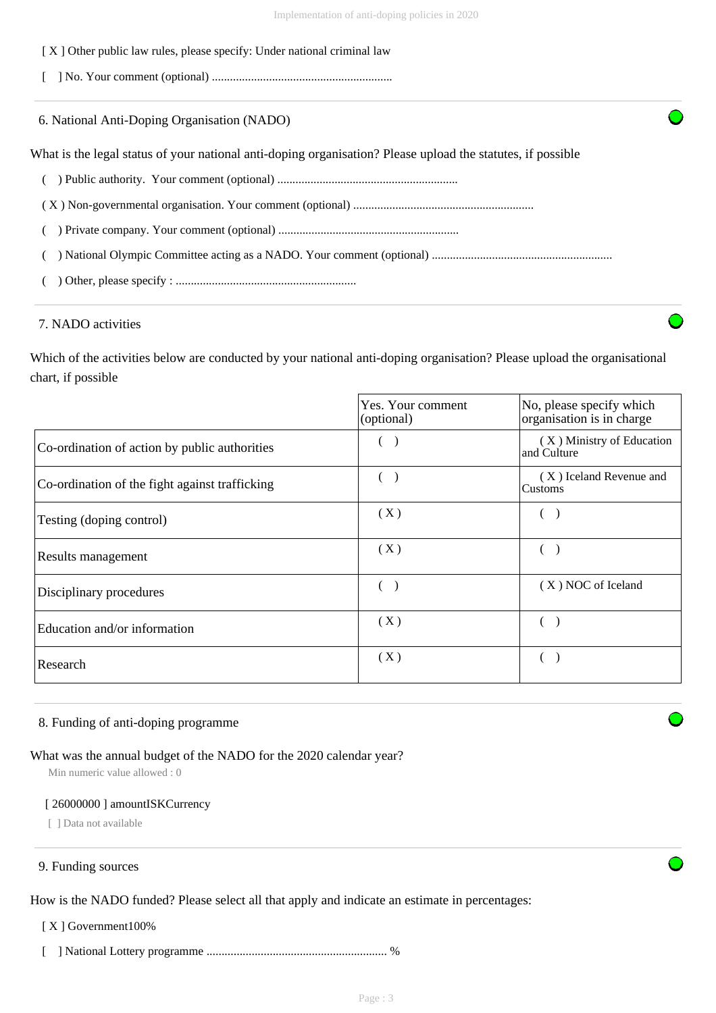## [ X ] Other public law rules, please specify: Under national criminal law

- [ ] No. Your comment (optional) ............................................................
- 6. National Anti-Doping Organisation (NADO)

What is the legal status of your national anti-doping organisation? Please upload the statutes, if possible

- ( ) Public authority. Your comment (optional) ............................................................
- ( X ) Non-governmental organisation. Your comment (optional) ............................................................
- ( ) Private company. Your comment (optional) ............................................................
- ( ) National Olympic Committee acting as a NADO. Your comment (optional) ............................................................
- ( ) Other, please specify : ............................................................

#### 7. NADO activities

Which of the activities below are conducted by your national anti-doping organisation? Please upload the organisational chart, if possible

|                                                | Yes. Your comment<br>(optional) | No, please specify which<br>organisation is in charge |
|------------------------------------------------|---------------------------------|-------------------------------------------------------|
| Co-ordination of action by public authorities  |                                 | (X) Ministry of Education<br>and Culture              |
| Co-ordination of the fight against trafficking |                                 | (X) Iceland Revenue and<br>Customs                    |
| Testing (doping control)                       | (X)                             |                                                       |
| Results management                             | (X)                             |                                                       |
| Disciplinary procedures                        |                                 | (X) NOC of Iceland                                    |
| Education and/or information                   | (X)                             |                                                       |
| Research                                       | (X)                             |                                                       |

#### 8. Funding of anti-doping programme

#### What was the annual budget of the NADO for the 2020 calendar year?

Min numeric value allowed : 0

#### [ 26000000 ] amountISKCurrency

[ ] Data not available

#### 9. Funding sources

How is the NADO funded? Please select all that apply and indicate an estimate in percentages:

[ X ] Government100%

[ ] National Lottery programme ............................................................ %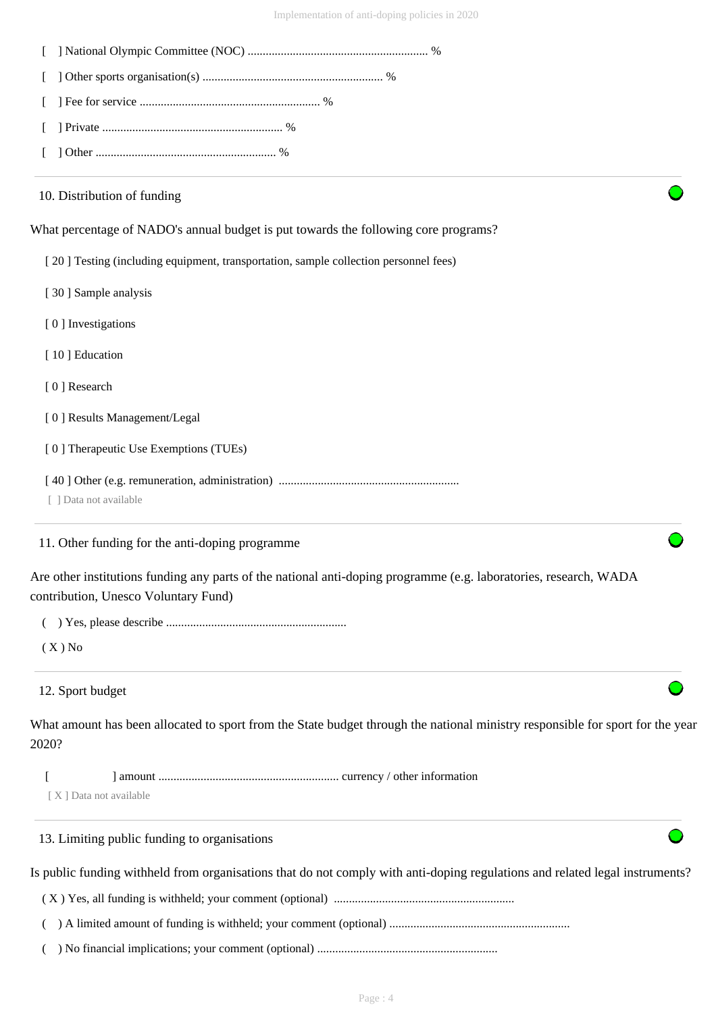| 10. Distribution of funding                                                                                                                               |
|-----------------------------------------------------------------------------------------------------------------------------------------------------------|
| What percentage of NADO's annual budget is put towards the following core programs?                                                                       |
| [20] Testing (including equipment, transportation, sample collection personnel fees)                                                                      |
| [30] Sample analysis                                                                                                                                      |
| [0] Investigations                                                                                                                                        |
| [10] Education                                                                                                                                            |
| [0] Research                                                                                                                                              |
| [0] Results Management/Legal                                                                                                                              |
| [0] Therapeutic Use Exemptions (TUEs)                                                                                                                     |
| [ ] Data not available                                                                                                                                    |
| 11. Other funding for the anti-doping programme                                                                                                           |
| Are other institutions funding any parts of the national anti-doping programme (e.g. laboratories, research, WADA<br>contribution, Unesco Voluntary Fund) |
|                                                                                                                                                           |
| $(X)$ No                                                                                                                                                  |
| 12. Sport budget                                                                                                                                          |
| What amount has been allocated to sport from the State budget through the national ministry responsible for sport for the year<br>2020?                   |
| [X] Data not available                                                                                                                                    |
| 13. Limiting public funding to organisations                                                                                                              |
| Is public funding withheld from organisations that do not comply with anti-doping regulations and related legal instruments?                              |
|                                                                                                                                                           |
|                                                                                                                                                           |
|                                                                                                                                                           |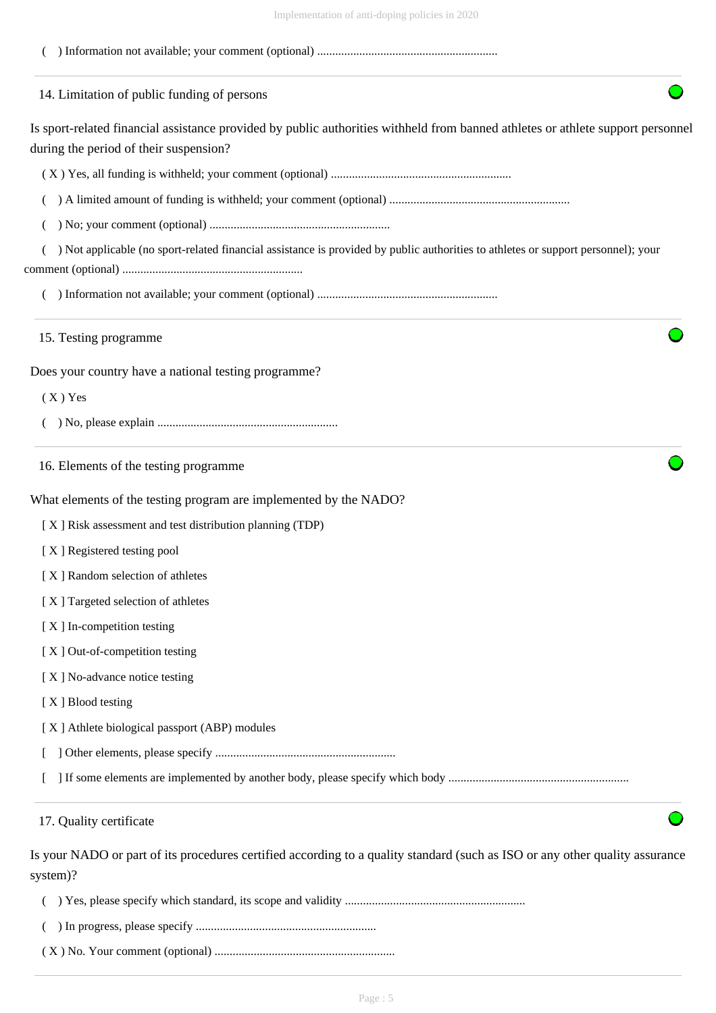| Implementation of anti-doping policies in 2020                                                                                                                            |
|---------------------------------------------------------------------------------------------------------------------------------------------------------------------------|
|                                                                                                                                                                           |
| 14. Limitation of public funding of persons                                                                                                                               |
| Is sport-related financial assistance provided by public authorities withheld from banned athletes or athlete support personnel<br>during the period of their suspension? |
|                                                                                                                                                                           |
|                                                                                                                                                                           |
|                                                                                                                                                                           |
| Not applicable (no sport-related financial assistance is provided by public authorities to athletes or support personnel); your                                           |
|                                                                                                                                                                           |
| 15. Testing programme                                                                                                                                                     |
| Does your country have a national testing programme?                                                                                                                      |
| $(X)$ Yes                                                                                                                                                                 |
|                                                                                                                                                                           |
| 16. Elements of the testing programme                                                                                                                                     |
| What elements of the testing program are implemented by the NADO?                                                                                                         |
| [X] Risk assessment and test distribution planning (TDP)                                                                                                                  |
| [X] Registered testing pool                                                                                                                                               |
| [X] Random selection of athletes                                                                                                                                          |
| [X] Targeted selection of athletes                                                                                                                                        |
| [X] In-competition testing                                                                                                                                                |
| [X] Out-of-competition testing                                                                                                                                            |
| [X] No-advance notice testing                                                                                                                                             |
| [X] Blood testing                                                                                                                                                         |
| [X] Athlete biological passport (ABP) modules                                                                                                                             |
|                                                                                                                                                                           |
|                                                                                                                                                                           |
| 17. Quality certificate                                                                                                                                                   |
| Is your NADO or part of its procedures certified according to a quality standard (such as ISO or any other quality assurance<br>system)?                                  |
|                                                                                                                                                                           |

( ) In progress, please specify ............................................................

( X ) No. Your comment (optional) ............................................................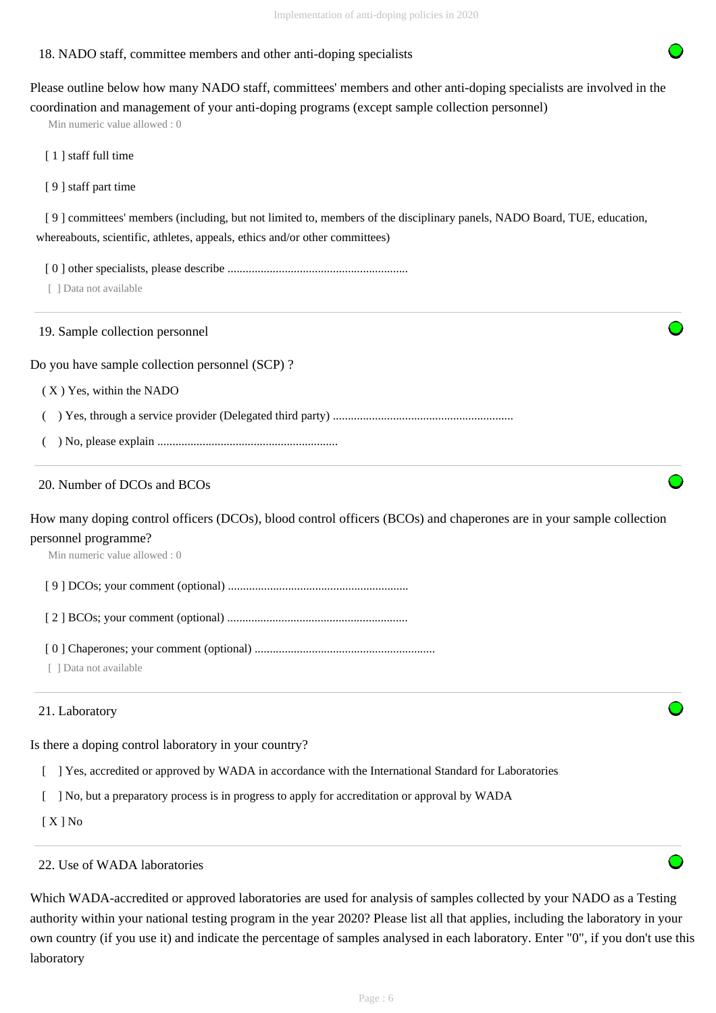## 18. NADO staff, committee members and other anti-doping specialists

Please outline below how many NADO staff, committees' members and other anti-doping specialists are involved in the coordination and management of your anti-doping programs (except sample collection personnel)

Min numeric value allowed : 0

[ 1 ] staff full time

[ 9 ] staff part time

 [ 9 ] committees' members (including, but not limited to, members of the disciplinary panels, NADO Board, TUE, education, whereabouts, scientific, athletes, appeals, ethics and/or other committees)

[ 0 ] other specialists, please describe ............................................................

[ ] Data not available

19. Sample collection personnel

Do you have sample collection personnel (SCP) ?

( X ) Yes, within the NADO

( ) Yes, through a service provider (Delegated third party) ............................................................

( ) No, please explain ............................................................

## 20. Number of DCOs and BCOs

How many doping control officers (DCOs), blood control officers (BCOs) and chaperones are in your sample collection personnel programme?

Min numeric value allowed : 0

[ 9 ] DCOs; your comment (optional) ............................................................

[ 2 ] BCOs; your comment (optional) ............................................................

[ 0 ] Chaperones; your comment (optional) ............................................................

[ ] Data not available

#### 21. Laboratory

Is there a doping control laboratory in your country?

- [ ] Yes, accredited or approved by WADA in accordance with the International Standard for Laboratories
- [ ] No, but a preparatory process is in progress to apply for accreditation or approval by WADA

[ X ] No

## 22. Use of WADA laboratories

Which WADA-accredited or approved laboratories are used for analysis of samples collected by your NADO as a Testing authority within your national testing program in the year 2020? Please list all that applies, including the laboratory in your own country (if you use it) and indicate the percentage of samples analysed in each laboratory. Enter "0", if you don't use this laboratory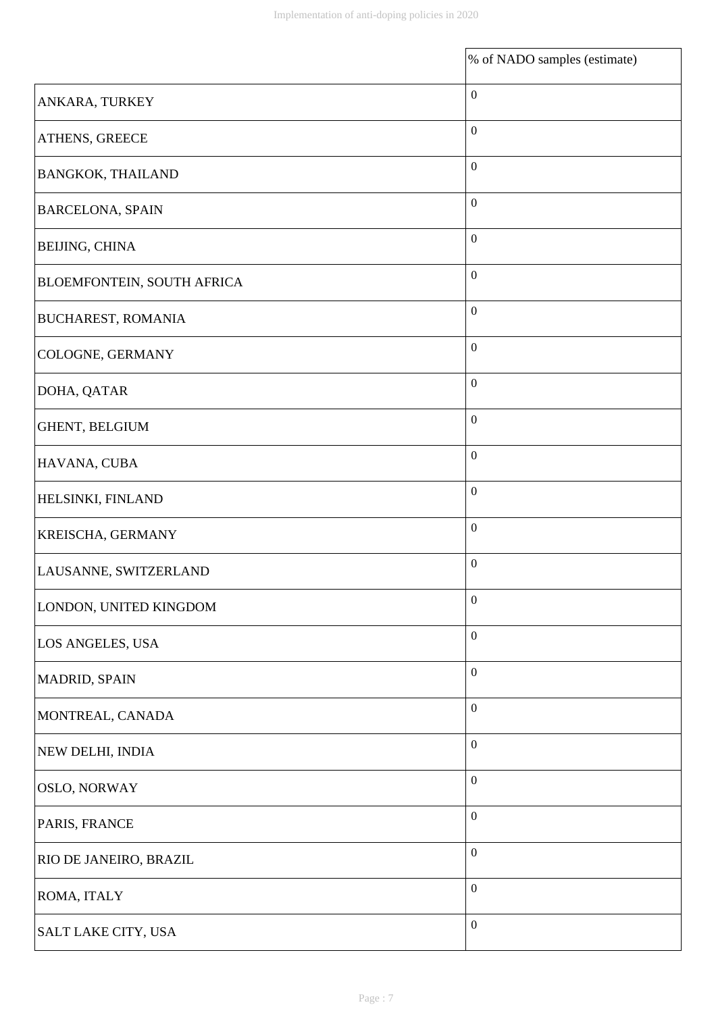|                            | % of NADO samples (estimate) |
|----------------------------|------------------------------|
| ANKARA, TURKEY             | $\boldsymbol{0}$             |
| ATHENS, GREECE             | $\boldsymbol{0}$             |
| <b>BANGKOK, THAILAND</b>   | $\boldsymbol{0}$             |
| <b>BARCELONA, SPAIN</b>    | $\boldsymbol{0}$             |
| <b>BEIJING, CHINA</b>      | $\boldsymbol{0}$             |
| BLOEMFONTEIN, SOUTH AFRICA | $\boldsymbol{0}$             |
| <b>BUCHAREST, ROMANIA</b>  | $\boldsymbol{0}$             |
| COLOGNE, GERMANY           | $\boldsymbol{0}$             |
| DOHA, QATAR                | $\boldsymbol{0}$             |
| GHENT, BELGIUM             | $\boldsymbol{0}$             |
| HAVANA, CUBA               | $\boldsymbol{0}$             |
| HELSINKI, FINLAND          | $\boldsymbol{0}$             |
| KREISCHA, GERMANY          | $\boldsymbol{0}$             |
| LAUSANNE, SWITZERLAND      | $\boldsymbol{0}$             |
| LONDON, UNITED KINGDOM     | $\boldsymbol{0}$             |
| LOS ANGELES, USA           | $\boldsymbol{0}$             |
| MADRID, SPAIN              | $\boldsymbol{0}$             |
| MONTREAL, CANADA           | $\boldsymbol{0}$             |
| NEW DELHI, INDIA           | $\boldsymbol{0}$             |
| <b>OSLO, NORWAY</b>        | $\boldsymbol{0}$             |
| PARIS, FRANCE              | $\boldsymbol{0}$             |
| RIO DE JANEIRO, BRAZIL     | $\boldsymbol{0}$             |
| ROMA, ITALY                | $\boldsymbol{0}$             |
| SALT LAKE CITY, USA        | $\boldsymbol{0}$             |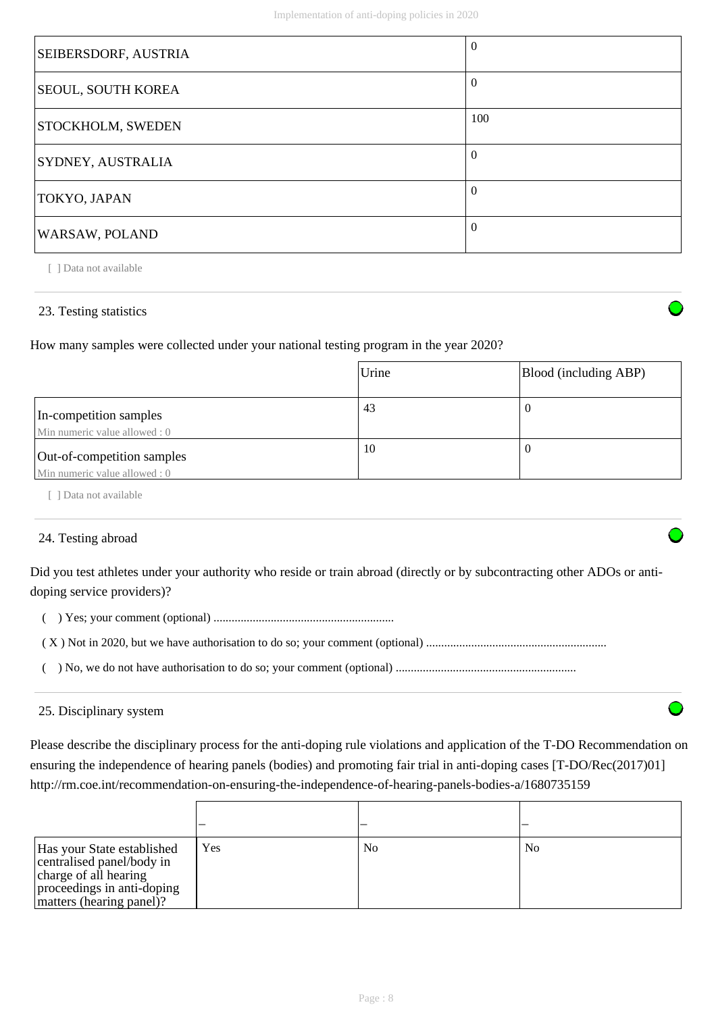| SEIBERSDORF, AUSTRIA      | $\theta$ |
|---------------------------|----------|
| <b>SEOUL, SOUTH KOREA</b> | $\theta$ |
| <b>STOCKHOLM, SWEDEN</b>  | 100      |
| <b>SYDNEY, AUSTRALIA</b>  | $\theta$ |
| TOKYO, JAPAN              | $\theta$ |
| WARSAW, POLAND            | $\Omega$ |

[ ] Data not available

## 23. Testing statistics

How many samples were collected under your national testing program in the year 2020?

|                                                            | Urine | Blood (including ABP) |
|------------------------------------------------------------|-------|-----------------------|
| In-competition samples<br>Min numeric value allowed: 0     | 43    | v                     |
| Out-of-competition samples<br>Min numeric value allowed: 0 | 10    | v                     |

[ ] Data not available

### 24. Testing abroad

Did you test athletes under your authority who reside or train abroad (directly or by subcontracting other ADOs or antidoping service providers)?

( ) Yes; your comment (optional) ............................................................

|--|--|--|--|

( ) No, we do not have authorisation to do so; your comment (optional) ............................................................

#### 25. Disciplinary system

Please describe the disciplinary process for the anti-doping rule violations and application of the T-DO Recommendation on ensuring the independence of hearing panels (bodies) and promoting fair trial in anti-doping cases [T-DO/Rec(2017)01] http://rm.coe.int/recommendation-on-ensuring-the-independence-of-hearing-panels-bodies-a/1680735159

| Has your State established<br>centralised panel/body in<br>charge of all hearing<br>proceedings in anti-doping<br>matters (hearing panel)? | Yes | N <sub>0</sub> | N <sub>0</sub> |
|--------------------------------------------------------------------------------------------------------------------------------------------|-----|----------------|----------------|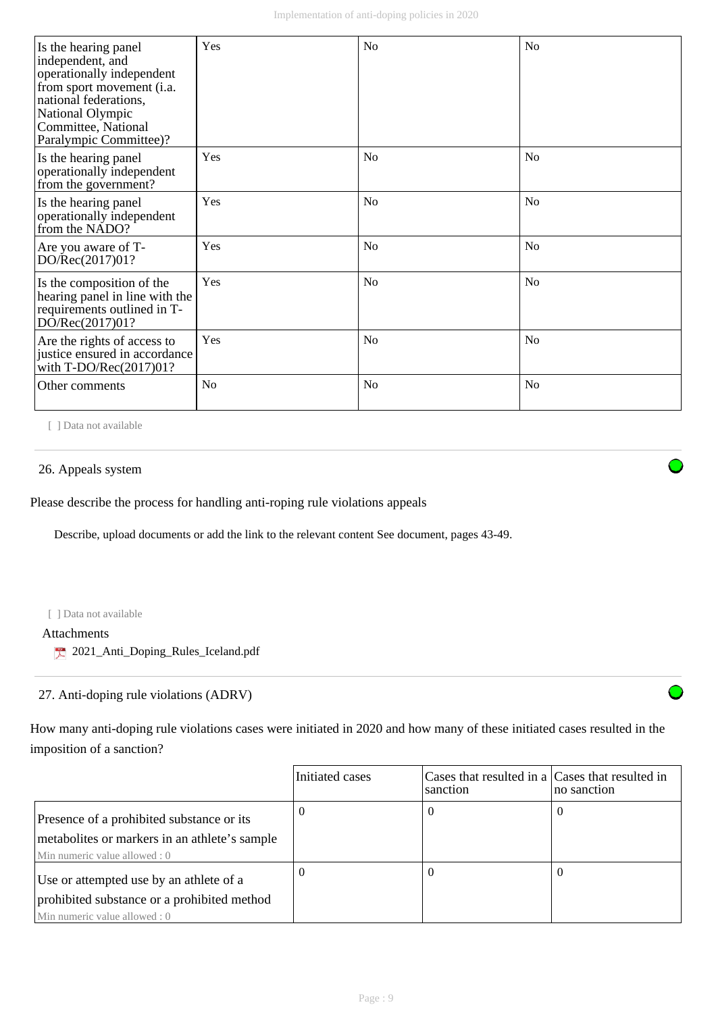| Is the hearing panel<br>independent, and<br>operationally independent<br>from sport movement (i.a.<br>national federations,<br>National Olympic<br>Committee, National<br>Paralympic Committee)? | Yes            | No             | N <sub>0</sub> |
|--------------------------------------------------------------------------------------------------------------------------------------------------------------------------------------------------|----------------|----------------|----------------|
| Is the hearing panel<br>operationally independent<br>from the government?                                                                                                                        | Yes            | No             | N <sub>0</sub> |
| Is the hearing panel<br>operationally independent<br>from the NADO?                                                                                                                              | Yes            | N <sub>o</sub> | N <sub>0</sub> |
| Are you aware of T-<br>DO/Rec(2017)01?                                                                                                                                                           | Yes            | No             | N <sub>o</sub> |
| Is the composition of the<br>hearing panel in line with the<br>requirements outlined in T-<br>DO/Rec(2017)01?                                                                                    | Yes            | No             | No             |
| Are the rights of access to<br>justice ensured in accordance<br>with $T\text{-DO/Rec}(2017)01?$                                                                                                  | Yes            | N <sub>o</sub> | N <sub>0</sub> |
| Other comments                                                                                                                                                                                   | N <sub>0</sub> | No             | N <sub>0</sub> |

[ ] Data not available

#### 26. Appeals system

Please describe the process for handling anti-roping rule violations appeals

Describe, upload documents or add the link to the relevant content See document, pages 43-49.

#### [ ] Data not available

Attachments

2021\_Anti\_Doping\_Rules\_Iceland.pdf

## 27. Anti-doping rule violations (ADRV)

How many anti-doping rule violations cases were initiated in 2020 and how many of these initiated cases resulted in the imposition of a sanction?

|                                                                                                                             | Initiated cases | Cases that resulted in a Cases that resulted in<br>sanction | no sanction |
|-----------------------------------------------------------------------------------------------------------------------------|-----------------|-------------------------------------------------------------|-------------|
| Presence of a prohibited substance or its<br>metabolites or markers in an athlete's sample<br>Min numeric value allowed : 0 |                 | U                                                           |             |
| Use or attempted use by an athlete of a<br>prohibited substance or a prohibited method<br>Min numeric value allowed : 0     |                 |                                                             |             |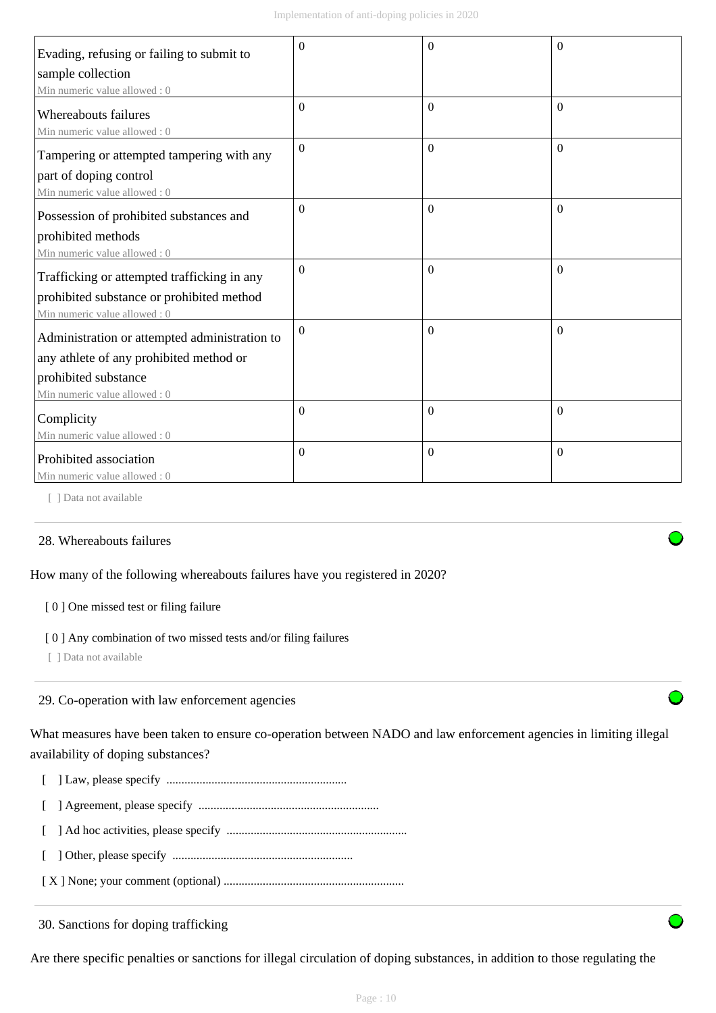| Evading, refusing or failing to submit to                   | $\theta$         | $\Omega$       | $\theta$ |
|-------------------------------------------------------------|------------------|----------------|----------|
| sample collection                                           |                  |                |          |
| Min numeric value allowed: 0                                |                  |                |          |
| <b>Whereabouts failures</b><br>Min numeric value allowed: 0 | $\Omega$         | $\mathbf{0}$   | $\theta$ |
| Tampering or attempted tampering with any                   | $\mathbf{0}$     | $\mathbf{0}$   | $\Omega$ |
| part of doping control                                      |                  |                |          |
| Min numeric value allowed : 0                               |                  |                |          |
| Possession of prohibited substances and                     | $\Omega$         | $\overline{0}$ | $\theta$ |
| prohibited methods                                          |                  |                |          |
| Min numeric value allowed : 0                               |                  |                |          |
| Trafficking or attempted trafficking in any                 | $\Omega$         | $\Omega$       | $\theta$ |
| prohibited substance or prohibited method                   |                  |                |          |
| Min numeric value allowed: 0                                |                  |                |          |
| Administration or attempted administration to               | $\Omega$         | $\Omega$       | $\theta$ |
| any athlete of any prohibited method or                     |                  |                |          |
| prohibited substance                                        |                  |                |          |
| Min numeric value allowed: 0                                |                  |                |          |
| Complicity                                                  | $\mathbf{0}$     | $\mathbf{0}$   | $\theta$ |
| Min numeric value allowed: 0                                |                  |                |          |
| Prohibited association                                      | $\boldsymbol{0}$ | $\mathbf{0}$   | $\theta$ |
| Min numeric value allowed: 0                                |                  |                |          |

[ ] Data not available

#### 28. Whereabouts failures

How many of the following whereabouts failures have you registered in 2020?

#### [ 0 ] One missed test or filing failure

#### [0] Any combination of two missed tests and/or filing failures

[ ] Data not available

#### 29. Co-operation with law enforcement agencies

What measures have been taken to ensure co-operation between NADO and law enforcement agencies in limiting illegal availability of doping substances?



- [ ] Agreement, please specify ............................................................
- [ ] Ad hoc activities, please specify ............................................................
- [ ] Other, please specify ............................................................
- [ X ] None; your comment (optional) ............................................................

30. Sanctions for doping trafficking

Are there specific penalties or sanctions for illegal circulation of doping substances, in addition to those regulating the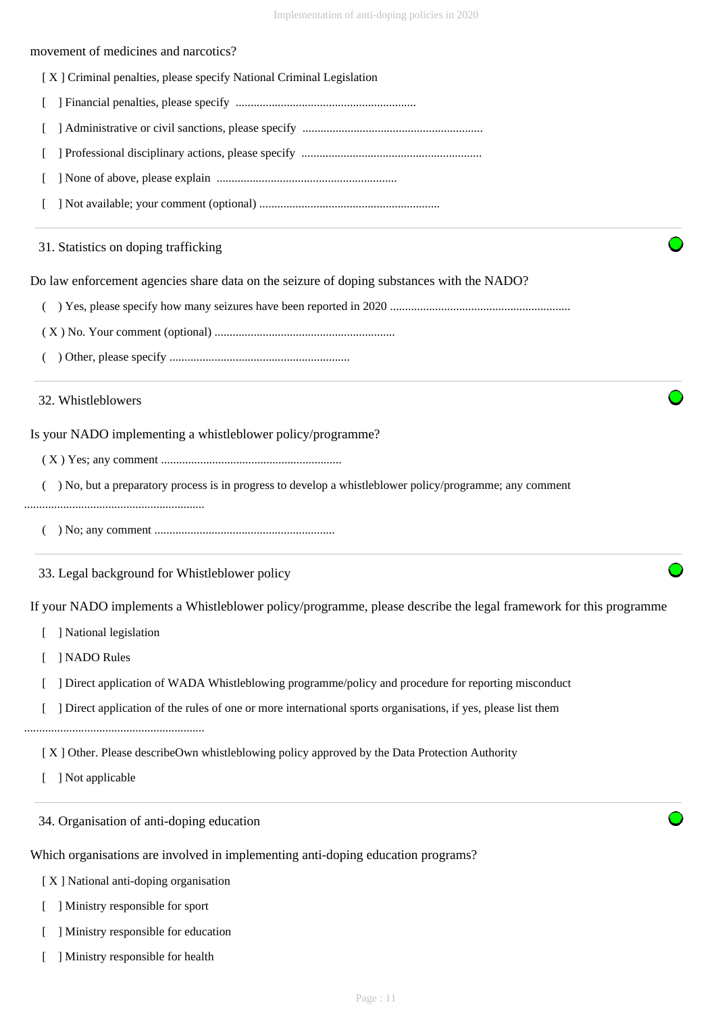#### movement of medicines and narcotics?

- [ X ] Criminal penalties, please specify National Criminal Legislation
- [ ] Financial penalties, please specify ............................................................
- [ ] Administrative or civil sanctions, please specify ............................................................
- [ ] Professional disciplinary actions, please specify ............................................................
- [ ] None of above, please explain ............................................................
- [ ] Not available; your comment (optional) ............................................................

#### 31. Statistics on doping trafficking

Do law enforcement agencies share data on the seizure of doping substances with the NADO?

- ( ) Yes, please specify how many seizures have been reported in 2020 ............................................................
- ( X ) No. Your comment (optional) ............................................................
- ( ) Other, please specify ............................................................

#### 32. Whistleblowers

Is your NADO implementing a whistleblower policy/programme?

- ( X ) Yes; any comment ............................................................
- ( ) No, but a preparatory process is in progress to develop a whistleblower policy/programme; any comment

#### ............................................................

( ) No; any comment ............................................................

33. Legal background for Whistleblower policy

If your NADO implements a Whistleblower policy/programme, please describe the legal framework for this programme

- [ ] National legislation
- [ ] NADO Rules
- [ ] Direct application of WADA Whistleblowing programme/policy and procedure for reporting misconduct
- [ ] Direct application of the rules of one or more international sports organisations, if yes, please list them

............................................................

[ X ] Other. Please describeOwn whistleblowing policy approved by the Data Protection Authority

[ ] Not applicable

34. Organisation of anti-doping education

Which organisations are involved in implementing anti-doping education programs?

[ X ] National anti-doping organisation

[ ] Ministry responsible for sport

[ ] Ministry responsible for education

[ ] Ministry responsible for health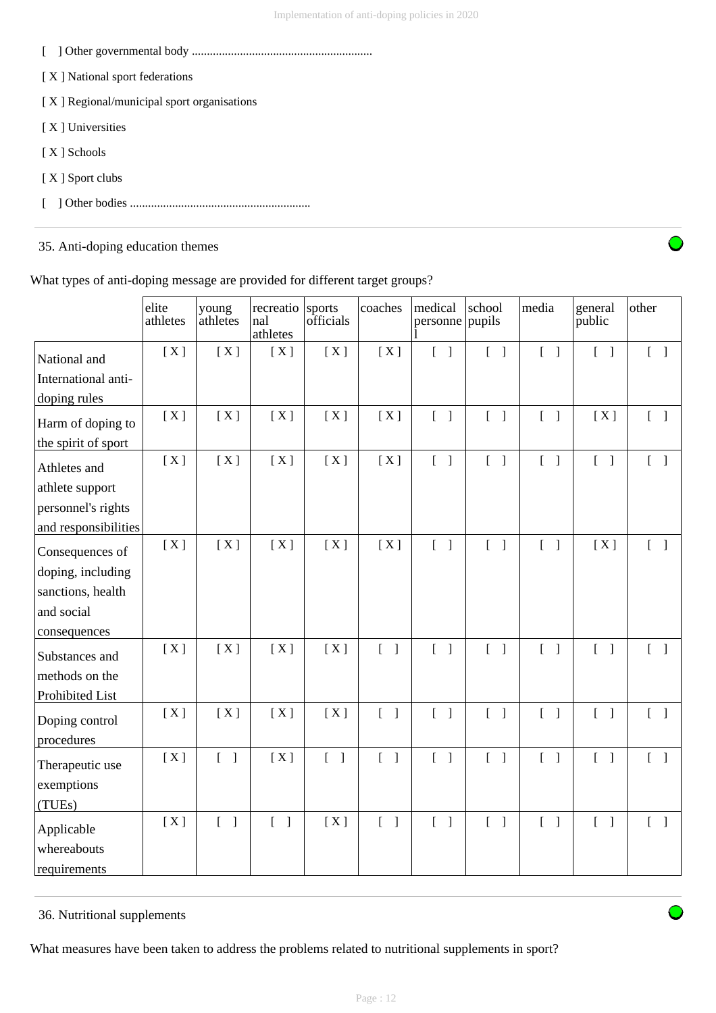- [ ] Other governmental body ............................................................
- [ X ] National sport federations
- [ X ] Regional/municipal sport organisations
- [ X ] Universities
- [ X ] Schools
- [ X ] Sport clubs
- [ ] Other bodies ............................................................

## 35. Anti-doping education themes



What types of anti-doping message are provided for different target groups?

|                              | elite<br>athletes | young<br>athletes                 | recreatio<br>nal<br>athletes     | sports<br>officials               | coaches                           | medical<br>personne pupils        | school                                | media                             | general<br>public                 | other                             |
|------------------------------|-------------------|-----------------------------------|----------------------------------|-----------------------------------|-----------------------------------|-----------------------------------|---------------------------------------|-----------------------------------|-----------------------------------|-----------------------------------|
| National and                 | [X]               | [X]                               | [X]                              | [X]                               | [X]                               | $\begin{bmatrix} 1 \end{bmatrix}$ | $\begin{bmatrix} 1 \end{bmatrix}$     | $\begin{bmatrix} 1 \end{bmatrix}$ | $\begin{bmatrix} 1 \end{bmatrix}$ | $[\ ]$                            |
| International anti-          |                   |                                   |                                  |                                   |                                   |                                   |                                       |                                   |                                   |                                   |
| doping rules                 |                   |                                   |                                  |                                   |                                   |                                   |                                       |                                   |                                   |                                   |
| Harm of doping to            | [X]               | [X]                               | [X]                              | [X]                               | [X]                               | $\begin{bmatrix} 1 \end{bmatrix}$ | $\begin{bmatrix} 1 \end{bmatrix}$     | $\begin{bmatrix} 1 \end{bmatrix}$ | [X]                               | $\begin{bmatrix} 1 \end{bmatrix}$ |
| the spirit of sport          |                   |                                   |                                  |                                   |                                   |                                   |                                       |                                   |                                   |                                   |
| Athletes and                 | [X]               | [X]                               | [X]                              | [X]                               | [X]                               | $\begin{bmatrix} 1 \end{bmatrix}$ | $\begin{bmatrix} 1 \end{bmatrix}$     | $\begin{bmatrix} 1 \end{bmatrix}$ | $\begin{bmatrix} 1 \end{bmatrix}$ | $\begin{bmatrix} 1 \end{bmatrix}$ |
| athlete support              |                   |                                   |                                  |                                   |                                   |                                   |                                       |                                   |                                   |                                   |
| personnel's rights           |                   |                                   |                                  |                                   |                                   |                                   |                                       |                                   |                                   |                                   |
| and responsibilities         |                   |                                   |                                  |                                   |                                   |                                   |                                       |                                   |                                   |                                   |
| Consequences of              | [X]               | [X]                               | [X]                              | [X]                               | [X]                               | $\begin{bmatrix} 1 \end{bmatrix}$ | $\begin{bmatrix} 1 \end{bmatrix}$     | $\begin{bmatrix} 1 \end{bmatrix}$ | [X]                               | $\begin{bmatrix} 1 \end{bmatrix}$ |
| doping, including            |                   |                                   |                                  |                                   |                                   |                                   |                                       |                                   |                                   |                                   |
| sanctions, health            |                   |                                   |                                  |                                   |                                   |                                   |                                       |                                   |                                   |                                   |
| and social                   |                   |                                   |                                  |                                   |                                   |                                   |                                       |                                   |                                   |                                   |
| consequences                 |                   |                                   |                                  |                                   |                                   |                                   |                                       |                                   |                                   |                                   |
| Substances and               | [X]               | [X]                               | [X]                              | [X]                               | $\begin{bmatrix} 1 \end{bmatrix}$ | $\begin{bmatrix} 1 \end{bmatrix}$ | $[$ $]$                               | $\mathbb{L}$<br>$\mathbf{I}$      | $\begin{bmatrix} 1 \end{bmatrix}$ | $\begin{bmatrix} 1 \end{bmatrix}$ |
| methods on the               |                   |                                   |                                  |                                   |                                   |                                   |                                       |                                   |                                   |                                   |
| Prohibited List              |                   |                                   |                                  |                                   |                                   |                                   |                                       |                                   |                                   |                                   |
| Doping control<br>procedures | [X]               | [X]                               | [X]                              | [X]                               | $\begin{bmatrix} 1 \end{bmatrix}$ | $\begin{bmatrix} 1 \end{bmatrix}$ | $\begin{bmatrix} 1 \end{bmatrix}$     | $\begin{bmatrix} 1 \end{bmatrix}$ | $\begin{bmatrix} 1 \end{bmatrix}$ |                                   |
| Therapeutic use              | [X]               | $\begin{bmatrix} 1 \end{bmatrix}$ | [X]                              | $\begin{bmatrix} 1 \end{bmatrix}$ | $\begin{bmatrix} 1 \end{bmatrix}$ | $\begin{bmatrix} 1 \end{bmatrix}$ | $\begin{bmatrix} 1 & 1 \end{bmatrix}$ | $\begin{bmatrix} 1 \end{bmatrix}$ | $\begin{bmatrix} 1 \end{bmatrix}$ |                                   |
| exemptions                   |                   |                                   |                                  |                                   |                                   |                                   |                                       |                                   |                                   |                                   |
| (TUEs)                       |                   |                                   |                                  |                                   |                                   |                                   |                                       |                                   |                                   |                                   |
| Applicable<br>whereabouts    | [X]               | $\begin{bmatrix} 1 \end{bmatrix}$ | $\overline{L}$<br>$\overline{1}$ | [X]                               | $\begin{bmatrix} 1 \end{bmatrix}$ | $\begin{bmatrix} 1 \end{bmatrix}$ | $\begin{bmatrix} 1 \end{bmatrix}$     | $\begin{bmatrix} 1 \end{bmatrix}$ | $\begin{bmatrix} 1 \end{bmatrix}$ | $\begin{bmatrix} 1 \end{bmatrix}$ |
| requirements                 |                   |                                   |                                  |                                   |                                   |                                   |                                       |                                   |                                   |                                   |

### 36. Nutritional supplements

What measures have been taken to address the problems related to nutritional supplements in sport?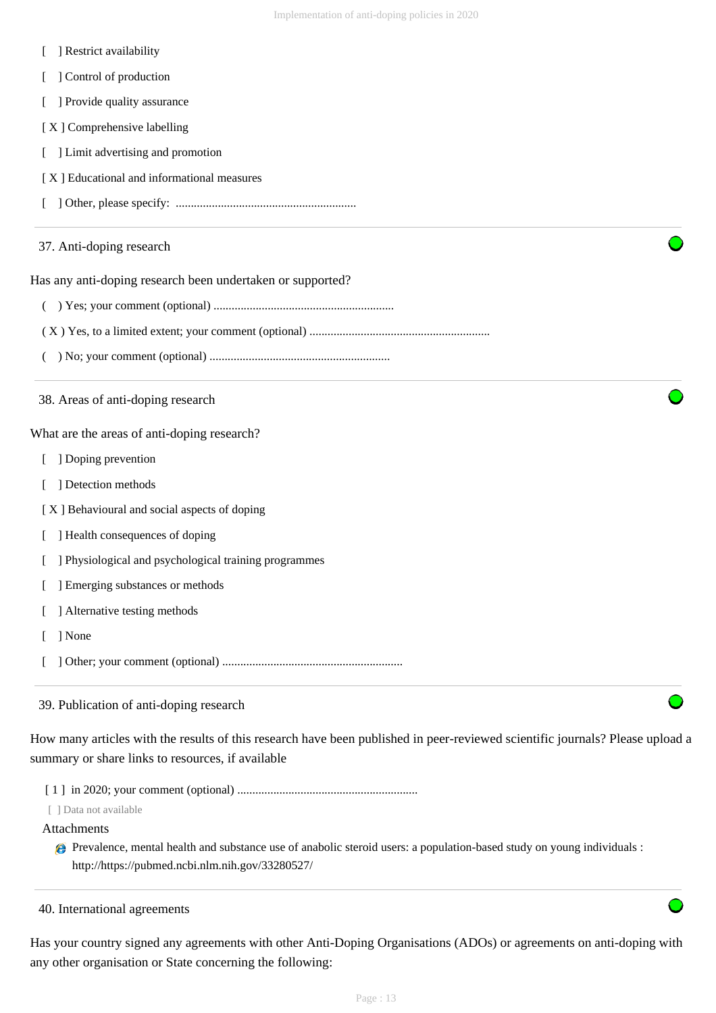- [ ] Restrict availability
- [ ] Control of production
- [ ] Provide quality assurance
- [X] Comprehensive labelling
- [ ] Limit advertising and promotion
- [ X ] Educational and informational measures
- [ ] Other, please specify: ............................................................
- 37. Anti-doping research

Has any anti-doping research been undertaken or supported?

- ( ) Yes; your comment (optional) ............................................................
- ( X ) Yes, to a limited extent; your comment (optional) ............................................................
- ( ) No; your comment (optional) ............................................................
- 38. Areas of anti-doping research

What are the areas of anti-doping research?

- [ ] Doping prevention
- [ ] Detection methods

[ X ] Behavioural and social aspects of doping

- [ ] Health consequences of doping
- [ ] Physiological and psychological training programmes
- [ ] Emerging substances or methods
- [ ] Alternative testing methods
- [ ] None
- [ ] Other; your comment (optional) ............................................................

## 39. Publication of anti-doping research

How many articles with the results of this research have been published in peer-reviewed scientific journals? Please upload a summary or share links to resources, if available

- [ 1 ] in 2020; your comment (optional) ............................................................
- [ ] Data not available

### Attachments

- Prevalence, mental health and substance use of anabolic steroid users: a population-based study on young individuals : http://https://pubmed.ncbi.nlm.nih.gov/33280527/
- 40. International agreements

Has your country signed any agreements with other Anti-Doping Organisations (ADOs) or agreements on anti-doping with any other organisation or State concerning the following: